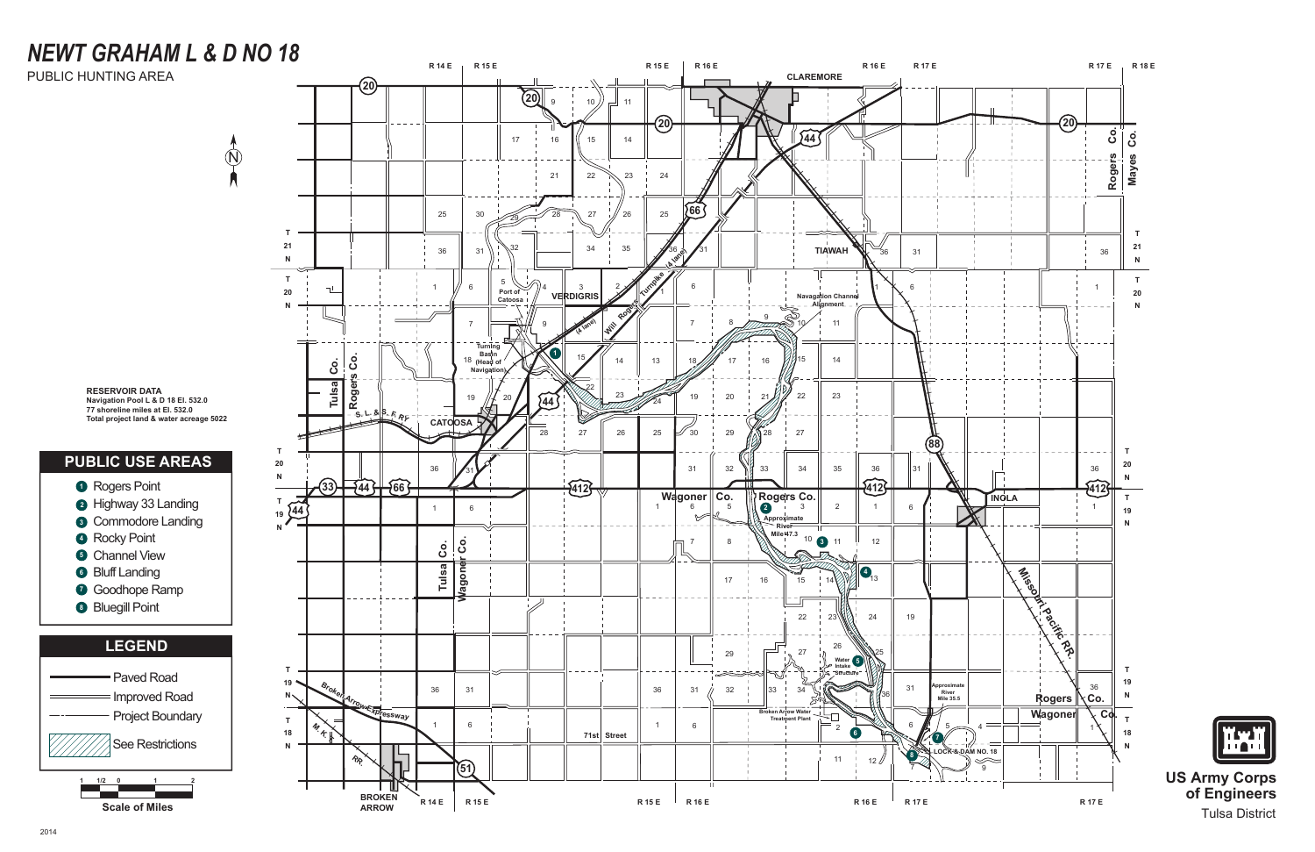





**US Army Corps of Engineers** Tulsa District

# *NEWT GRAHAM L & D NO 18*

 $\circledR$ 

PUBLIC HUNTING AREA

1 C 71  $\begin{array}{c} 1 & 0 \\ 1 & 0 \end{array}$ 

#### **PUBLIC USE AREAS**

**RESERVOIR DATA Navigation Pool L & D 18 El. 532.0 77 shoreline miles at El. 532.0 Total project land & water acreage 5022**